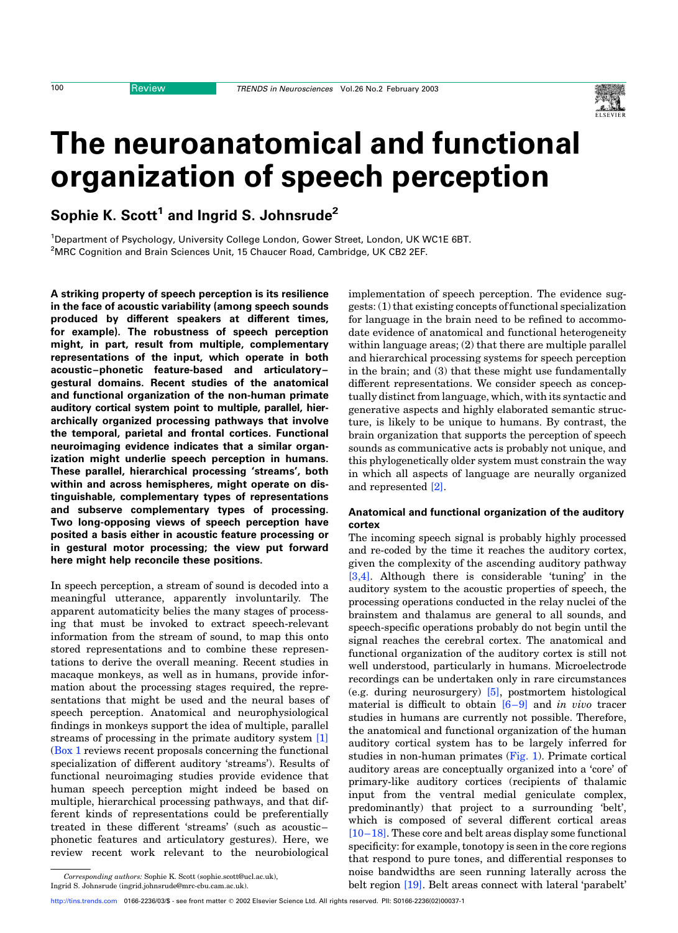

# The neuroanatomical and functional organization of speech perception

Sophie K. Scott<sup>1</sup> and Ingrid S. Johnsrude<sup>2</sup>

<sup>1</sup>Department of Psychology, University College London, Gower Street, London, UK WC1E 6BT. <sup>2</sup>MRC Cognition and Brain Sciences Unit, 15 Chaucer Road, Cambridge, UK CB2 2EF.

A striking property of speech perception is its resilience in the face of acoustic variability (among speech sounds produced by different speakers at different times, for example). The robustness of speech perception might, in part, result from multiple, complementary representations of the input, which operate in both acoustic–phonetic feature-based and articulatory– gestural domains. Recent studies of the anatomical and functional organization of the non-human primate auditory cortical system point to multiple, parallel, hierarchically organized processing pathways that involve the temporal, parietal and frontal cortices. Functional neuroimaging evidence indicates that a similar organization might underlie speech perception in humans. These parallel, hierarchical processing 'streams', both within and across hemispheres, might operate on distinguishable, complementary types of representations and subserve complementary types of processing. Two long-opposing views of speech perception have posited a basis either in acoustic feature processing or in gestural motor processing; the view put forward here might help reconcile these positions.

In speech perception, a stream of sound is decoded into a meaningful utterance, apparently involuntarily. The apparent automaticity belies the many stages of processing that must be invoked to extract speech-relevant information from the stream of sound, to map this onto stored representations and to combine these representations to derive the overall meaning. Recent studies in macaque monkeys, as well as in humans, provide information about the processing stages required, the representations that might be used and the neural bases of speech perception. Anatomical and neurophysiological findings in monkeys support the idea of multiple, parallel streams of processing in the primate auditory system [\[1\]](#page-5-0) ([Box](#page-1-0) 1 reviews recent proposals concerning the functional specialization of different auditory 'streams'). Results of functional neuroimaging studies provide evidence that human speech perception might indeed be based on multiple, hierarchical processing pathways, and that different kinds of representations could be preferentially treated in these different 'streams' (such as acoustic– phonetic features and articulatory gestures). Here, we review recent work relevant to the neurobiological

implementation of speech perception. The evidence suggests: (1) that existing concepts offunctional specialization for language in the brain need to be refined to accommodate evidence of anatomical and functional heterogeneity within language areas; (2) that there are multiple parallel and hierarchical processing systems for speech perception in the brain; and (3) that these might use fundamentally different representations. We consider speech as conceptually distinct from language, which, with its syntactic and generative aspects and highly elaborated semantic structure, is likely to be unique to humans. By contrast, the brain organization that supports the perception of speech sounds as communicative acts is probably not unique, and this phylogenetically older system must constrain the way in which all aspects of language are neurally organized and represented [\[2\].](#page-5-0)

## Anatomical and functional organization of the auditory cortex

The incoming speech signal is probably highly processed and re-coded by the time it reaches the auditory cortex, given the complexity of the ascending auditory pathway [\[3,4\]](#page-5-0). Although there is considerable 'tuning' in the auditory system to the acoustic properties of speech, the processing operations conducted in the relay nuclei of the brainstem and thalamus are general to all sounds, and speech-specific operations probably do not begin until the signal reaches the cerebral cortex. The anatomical and functional organization of the auditory cortex is still not well understood, particularly in humans. Microelectrode recordings can be undertaken only in rare circumstances (e.g. during neurosurgery) [\[5\]](#page-5-0), postmortem histological material is difficult to obtain  $[6-9]$  and in vivo tracer studies in humans are currently not possible. Therefore, the anatomical and functional organization of the human auditory cortical system has to be largely inferred for studies in non-human primates [\(Fig.](#page-2-0) 1). Primate cortical auditory areas are conceptually organized into a 'core' of primary-like auditory cortices (recipients of thalamic input from the ventral medial geniculate complex, predominantly) that project to a surrounding 'belt', which is composed of several different cortical areas [\[10–18\]](#page-5-0). These core and belt areas display some functional specificity: for example, tonotopy is seen in the core regions that respond to pure tones, and differential responses to noise bandwidths are seen running laterally across the belt region [\[19\]](#page-5-0). Belt areas connect with lateral 'parabelt'

Corresponding authors: Sophie K. Scott (sophie.scott@ucl.ac.uk), Ingrid S. Johnsrude (ingrid.johnsrude@mrc-cbu.cam.ac.uk).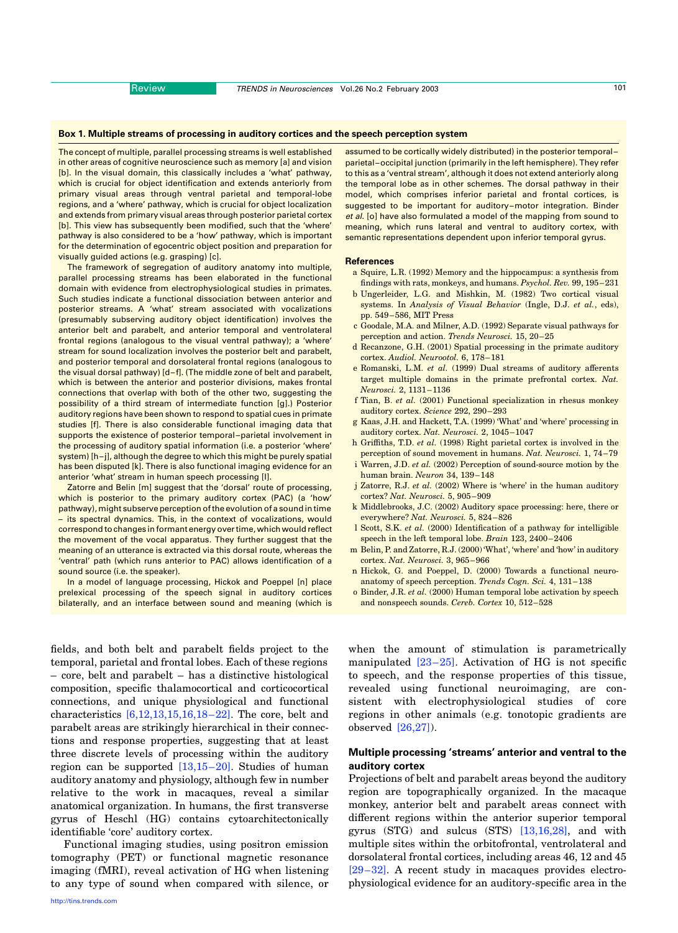#### <span id="page-1-0"></span>Box 1. Multiple streams of processing in auditory cortices and the speech perception system

The concept of multiple, parallel processing streams is well established in other areas of cognitive neuroscience such as memory [a] and vision [b]. In the visual domain, this classically includes a 'what' pathway, which is crucial for object identification and extends anteriorly from primary visual areas through ventral parietal and temporal-lobe regions, and a 'where' pathway, which is crucial for object localization and extends from primary visual areas through posterior parietal cortex [b]. This view has subsequently been modified, such that the 'where' pathway is also considered to be a 'how' pathway, which is important for the determination of egocentric object position and preparation for visually guided actions (e.g. grasping) [c].

The framework of segregation of auditory anatomy into multiple, parallel processing streams has been elaborated in the functional domain with evidence from electrophysiological studies in primates. Such studies indicate a functional dissociation between anterior and posterior streams. A 'what' stream associated with vocalizations (presumably subserving auditory object identification) involves the anterior belt and parabelt, and anterior temporal and ventrolateral frontal regions (analogous to the visual ventral pathway); a 'where' stream for sound localization involves the posterior belt and parabelt, and posterior temporal and dorsolateral frontal regions (analogous to the visual dorsal pathway) [d–f]. (The middle zone of belt and parabelt, which is between the anterior and posterior divisions, makes frontal connections that overlap with both of the other two, suggesting the possibility of a third stream of intermediate function [g].) Posterior auditory regions have been shown to respond to spatial cues in primate studies [f]. There is also considerable functional imaging data that supports the existence of posterior temporal–parietal involvement in the processing of auditory spatial information (i.e. a posterior 'where' system) [h–j], although the degree to which this might be purely spatial has been disputed [k]. There is also functional imaging evidence for an anterior 'what' stream in human speech processing [l].

Zatorre and Belin [m] suggest that the 'dorsal' route of processing, which is posterior to the primary auditory cortex (PAC) (a 'how' pathway), might subserve perception of the evolution of a sound in time – its spectral dynamics. This, in the context of vocalizations, would correspond to changes in formant energy over time, which would reflect the movement of the vocal apparatus. They further suggest that the meaning of an utterance is extracted via this dorsal route, whereas the 'ventral' path (which runs anterior to PAC) allows identification of a sound source (i.e. the speaker).

In a model of language processing, Hickok and Poeppel [n] place prelexical processing of the speech signal in auditory cortices bilaterally, and an interface between sound and meaning (which is

fields, and both belt and parabelt fields project to the temporal, parietal and frontal lobes. Each of these regions – core, belt and parabelt – has a distinctive histological composition, specific thalamocortical and corticocortical connections, and unique physiological and functional characteristics [\[6,12,13,15,16,18–22\]](#page-5-0). The core, belt and parabelt areas are strikingly hierarchical in their connections and response properties, suggesting that at least three discrete levels of processing within the auditory region can be supported  $[13,15-20]$ . Studies of human auditory anatomy and physiology, although few in number relative to the work in macaques, reveal a similar anatomical organization. In humans, the first transverse gyrus of Heschl (HG) contains cytoarchitectonically identifiable 'core' auditory cortex.

Functional imaging studies, using positron emission tomography (PET) or functional magnetic resonance imaging (fMRI), reveal activation of HG when listening to any type of sound when compared with silence, or assumed to be cortically widely distributed) in the posterior temporal– parietal–occipital junction (primarily in the left hemisphere). They refer to this as a 'ventral stream', although it does not extend anteriorly along the temporal lobe as in other schemes. The dorsal pathway in their model, which comprises inferior parietal and frontal cortices, is suggested to be important for auditory–motor integration. Binder et al. [o] have also formulated a model of the mapping from sound to meaning, which runs lateral and ventral to auditory cortex, with semantic representations dependent upon inferior temporal gyrus.

#### **References**

- a Squire, L.R. (1992) Memory and the hippocampus: a synthesis from findings with rats, monkeys, and humans. Psychol. Rev. 99, 195–231
- b Ungerleider, L.G. and Mishkin, M. (1982) Two cortical visual systems. In Analysis of Visual Behavior (Ingle, D.J. et al., eds), pp. 549–586, MIT Press
- c Goodale, M.A. and Milner, A.D. (1992) Separate visual pathways for perception and action. Trends Neurosci. 15, 20–25
- d Recanzone, G.H. (2001) Spatial processing in the primate auditory cortex. Audiol. Neurootol. 6, 178–181
- e Romanski, L.M. et al. (1999) Dual streams of auditory afferents target multiple domains in the primate prefrontal cortex. Nat. Neurosci. 2, 1131–1136
- f Tian, B. et al. (2001) Functional specialization in rhesus monkey auditory cortex. Science 292, 290–293
- g Kaas, J.H. and Hackett, T.A. (1999) 'What' and 'where' processing in auditory cortex. Nat. Neurosci. 2, 1045–1047
- h Griffiths, T.D. et al. (1998) Right parietal cortex is involved in the perception of sound movement in humans. Nat. Neurosci. 1, 74–79
- i Warren, J.D. et al. (2002) Perception of sound-source motion by the human brain. Neuron 34, 139–148
- j Zatorre, R.J. et al. (2002) Where is 'where' in the human auditory cortex? Nat. Neurosci. 5, 905–909
- k Middlebrooks, J.C. (2002) Auditory space processing: here, there or everywhere? Nat. Neurosci. 5, 824–826
- l Scott, S.K. et al. (2000) Identification of a pathway for intelligible speech in the left temporal lobe. Brain 123, 2400–2406
- m Belin, P. and Zatorre, R.J. (2000) 'What', 'where' and 'how' in auditory cortex. Nat. Neurosci. 3, 965–966
- n Hickok, G. and Poeppel, D. (2000) Towards a functional neuroanatomy of speech perception. Trends Cogn. Sci. 4, 131–138
- o Binder, J.R. et al. (2000) Human temporal lobe activation by speech and nonspeech sounds. Cereb. Cortex 10, 512–528

when the amount of stimulation is parametrically manipulated  $[23-25]$ . Activation of HG is not specific to speech, and the response properties of this tissue, revealed using functional neuroimaging, are consistent with electrophysiological studies of core regions in other animals (e.g. tonotopic gradients are observed [\[26,27\]\)](#page-6-0).

# Multiple processing 'streams' anterior and ventral to the auditory cortex

Projections of belt and parabelt areas beyond the auditory region are topographically organized. In the macaque monkey, anterior belt and parabelt areas connect with different regions within the anterior superior temporal gyrus (STG) and sulcus (STS) [\[13,16,28\],](#page-5-0) and with multiple sites within the orbitofrontal, ventrolateral and dorsolateral frontal cortices, including areas 46, 12 and 45 [\[29–32\]](#page-6-0). A recent study in macaques provides electrophysiological evidence for an auditory-specific area in the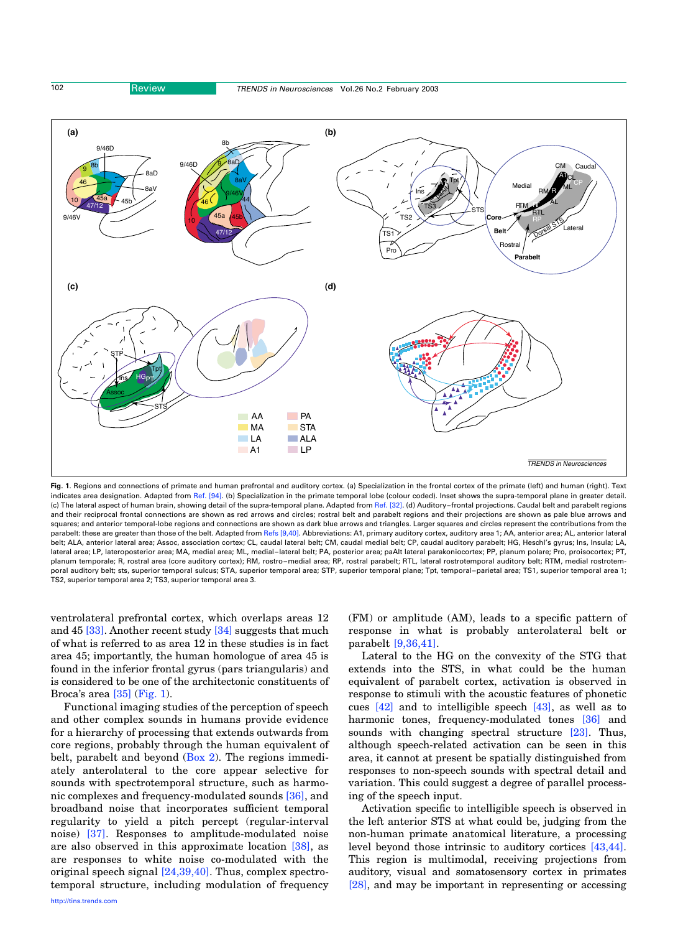<span id="page-2-0"></span>

Fig. 1. Regions and connections of primate and human prefrontal and auditory cortex. (a) Specialization in the frontal cortex of the primate (left) and human (right). Text indicates area designation. Adapted from [Ref.](#page-7-0) [94]. (b) Specialization in the primate temporal lobe (colour coded). Inset shows the supra-temporal plane in greater detail. (c) The lateral aspect of human brain, showing detail of the supra-temporal plane. Adapted from [Ref.](#page-6-0) [32]. (d) Auditory-frontal projections. Caudal belt and parabelt regions and their reciprocal frontal connections are shown as red arrows and circles; rostral belt and parabelt regions and their projections are shown as pale blue arrows and squares; and anterior temporal-lobe regions and connections are shown as dark blue arrows and triangles. Larger squares and circles represent the contributions from the parabelt: these are greater than those of the belt. Adapted from Refs [\[9,40\].](#page-5-0) Abbreviations: A1, primary auditory cortex, auditory area 1; AA, anterior area; AL, anterior lateral belt; ALA, anterior lateral area; Assoc, association cortex; CL, caudal lateral belt; CM, caudal medial belt; CP, caudal auditory parabelt; HG, Heschl's gyrus; Ins, Insula; LA, lateral area; LP, lateroposterior area; MA, medial area; ML, medial-lateral belt; PA, posterior area; paAlt lateral parakoniocortex; PP, planum polare; Pro, proisocortex; PT, planum temporale; R, rostral area (core auditory cortex); RM, rostro-medial area; RP, rostral parabelt; RTL, lateral rostrotemporal auditory belt; RTM, medial rostrotemporal auditory belt; sts, superior temporal sulcus; STA, superior temporal area; STP, superior temporal plane; Tpt, temporal–parietal area; TS1, superior temporal area 1; TS2, superior temporal area 2; TS3, superior temporal area 3.

ventrolateral prefrontal cortex, which overlaps areas 12 and 45 [\[33\]](#page-6-0). Another recent study [\[34\]](#page-6-0) suggests that much of what is referred to as area 12 in these studies is in fact area 45; importantly, the human homologue of area 45 is found in the inferior frontal gyrus (pars triangularis) and is considered to be one of the architectonic constituents of Broca's area  $[35]$  (Fig. 1).

Functional imaging studies of the perception of speech and other complex sounds in humans provide evidence for a hierarchy of processing that extends outwards from core regions, probably through the human equivalent of belt, parabelt and beyond [\(Box](#page-3-0) 2). The regions immediately anterolateral to the core appear selective for sounds with spectrotemporal structure, such as harmonic complexes and frequency-modulated sounds [\[36\]](#page-6-0), and broadband noise that incorporates sufficient temporal regularity to yield a pitch percept (regular-interval noise) [\[37\].](#page-6-0) Responses to amplitude-modulated noise are also observed in this approximate location [\[38\]](#page-6-0), as are responses to white noise co-modulated with the original speech signal [\[24,39,40\]](#page-5-0). Thus, complex spectrotemporal structure, including modulation of frequency

(FM) or amplitude (AM), leads to a specific pattern of response in what is probably anterolateral belt or parabelt [\[9,36,41\]](#page-5-0).

Lateral to the HG on the convexity of the STG that extends into the STS, in what could be the human equivalent of parabelt cortex, activation is observed in response to stimuli with the acoustic features of phonetic cues [\[42\]](#page-6-0) and to intelligible speech [\[43\]](#page-6-0), as well as to harmonic tones, frequency-modulated tones [\[36\]](#page-6-0) and sounds with changing spectral structure [\[23\]](#page-5-0). Thus, although speech-related activation can be seen in this area, it cannot at present be spatially distinguished from responses to non-speech sounds with spectral detail and variation. This could suggest a degree of parallel processing of the speech input.

Activation specific to intelligible speech is observed in the left anterior STS at what could be, judging from the non-human primate anatomical literature, a processing level beyond those intrinsic to auditory cortices [\[43,44\]](#page-6-0). This region is multimodal, receiving projections from auditory, visual and somatosensory cortex in primates [\[28\],](#page-6-0) and may be important in representing or accessing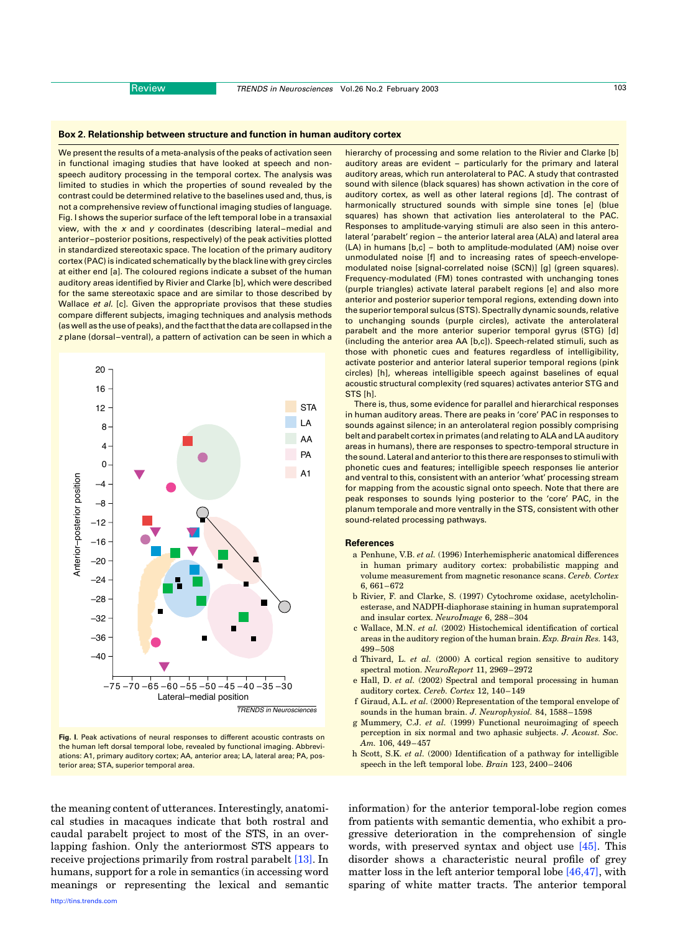#### <span id="page-3-0"></span>Box 2. Relationship between structure and function in human auditory cortex

We present the results of a meta-analysis of the peaks of activation seen in functional imaging studies that have looked at speech and nonspeech auditory processing in the temporal cortex. The analysis was limited to studies in which the properties of sound revealed by the contrast could be determined relative to the baselines used and, thus, is not a comprehensive review offunctional imaging studies of language. Fig. I shows the superior surface of the left temporal lobe in a transaxial view, with the x and y coordinates (describing lateral–medial and anterior–posterior positions, respectively) of the peak activities plotted in standardized stereotaxic space. The location of the primary auditory cortex (PAC) is indicated schematically by the black line with grey circles at either end [a]. The coloured regions indicate a subset of the human auditory areas identified by Rivier and Clarke [b], which were described for the same stereotaxic space and are similar to those described by Wallace et al. [c]. Given the appropriate provisos that these studies compare different subjects, imaging techniques and analysis methods (as well as the use of peaks), and the fact that the data are collapsed in the z plane (dorsal–ventral), a pattern of activation can be seen in which a



Fig. I. Peak activations of neural responses to different acoustic contrasts on the human left dorsal temporal lobe, revealed by functional imaging. Abbreviations: A1, primary auditory cortex; AA, anterior area; LA, lateral area; PA, posterior area; STA, superior temporal area.

the meaning content of utterances. Interestingly, anatomical studies in macaques indicate that both rostral and caudal parabelt project to most of the STS, in an overlapping fashion. Only the anteriormost STS appears to receive projections primarily from rostral parabelt [\[13\]](#page-5-0). In humans, support for a role in semantics (in accessing word meanings or representing the lexical and semantic

[http://tins.trends.com](http://www.trends.com)

hierarchy of processing and some relation to the Rivier and Clarke [b] auditory areas are evident – particularly for the primary and lateral auditory areas, which run anterolateral to PAC. A study that contrasted sound with silence (black squares) has shown activation in the core of auditory cortex, as well as other lateral regions [d]. The contrast of harmonically structured sounds with simple sine tones [e] (blue squares) has shown that activation lies anterolateral to the PAC. Responses to amplitude-varying stimuli are also seen in this anterolateral 'parabelt' region – the anterior lateral area (ALA) and lateral area (LA) in humans [b,c] – both to amplitude-modulated (AM) noise over unmodulated noise [f] and to increasing rates of speech-envelopemodulated noise [signal-correlated noise (SCN)] [g] (green squares). Frequency-modulated (FM) tones contrasted with unchanging tones (purple triangles) activate lateral parabelt regions [e] and also more anterior and posterior superior temporal regions, extending down into the superior temporal sulcus (STS). Spectrally dynamic sounds, relative to unchanging sounds (purple circles), activate the anterolateral parabelt and the more anterior superior temporal gyrus (STG) [d] (including the anterior area AA [b,c]). Speech-related stimuli, such as those with phonetic cues and features regardless of intelligibility, activate posterior and anterior lateral superior temporal regions (pink circles) [h], whereas intelligible speech against baselines of equal acoustic structural complexity (red squares) activates anterior STG and STS [h].

There is, thus, some evidence for parallel and hierarchical responses in human auditory areas. There are peaks in 'core' PAC in responses to sounds against silence; in an anterolateral region possibly comprising belt and parabelt cortex in primates (and relating to ALA and LA auditory areas in humans), there are responses to spectro-temporal structure in the sound. Lateral and anterior to this there are responses to stimuli with phonetic cues and features; intelligible speech responses lie anterior and ventral to this, consistent with an anterior 'what' processing stream for mapping from the acoustic signal onto speech. Note that there are peak responses to sounds lying posterior to the 'core' PAC, in the planum temporale and more ventrally in the STS, consistent with other sound-related processing pathways.

#### References

- a Penhune, V.B. et al. (1996) Interhemispheric anatomical differences in human primary auditory cortex: probabilistic mapping and volume measurement from magnetic resonance scans. Cereb. Cortex 6, 661–672
- b Rivier, F. and Clarke, S. (1997) Cytochrome oxidase, acetylcholinesterase, and NADPH-diaphorase staining in human supratemporal and insular cortex. NeuroImage 6, 288–304
- c Wallace, M.N. et al. (2002) Histochemical identification of cortical areas in the auditory region of the human brain. Exp. Brain Res. 143, 499–508
- d Thivard, L. et al. (2000) A cortical region sensitive to auditory spectral motion. NeuroReport 11, 2969-2972
- e Hall, D. et al. (2002) Spectral and temporal processing in human auditory cortex. Cereb. Cortex 12, 140–149
- f Giraud, A.L. et al. (2000) Representation of the temporal envelope of sounds in the human brain. J. Neurophysiol. 84, 1588–1598
- g Mummery, C.J. et al. (1999) Functional neuroimaging of speech perception in six normal and two aphasic subjects. J. Acoust. Soc. Am. 106, 449–457
- h Scott, S.K. et al. (2000) Identification of a pathway for intelligible speech in the left temporal lobe. Brain 123, 2400-2406

information) for the anterior temporal-lobe region comes from patients with semantic dementia, who exhibit a progressive deterioration in the comprehension of single words, with preserved syntax and object use [\[45\]](#page-6-0). This disorder shows a characteristic neural profile of grey matter loss in the left anterior temporal lobe [\[46,47\],](#page-6-0) with sparing of white matter tracts. The anterior temporal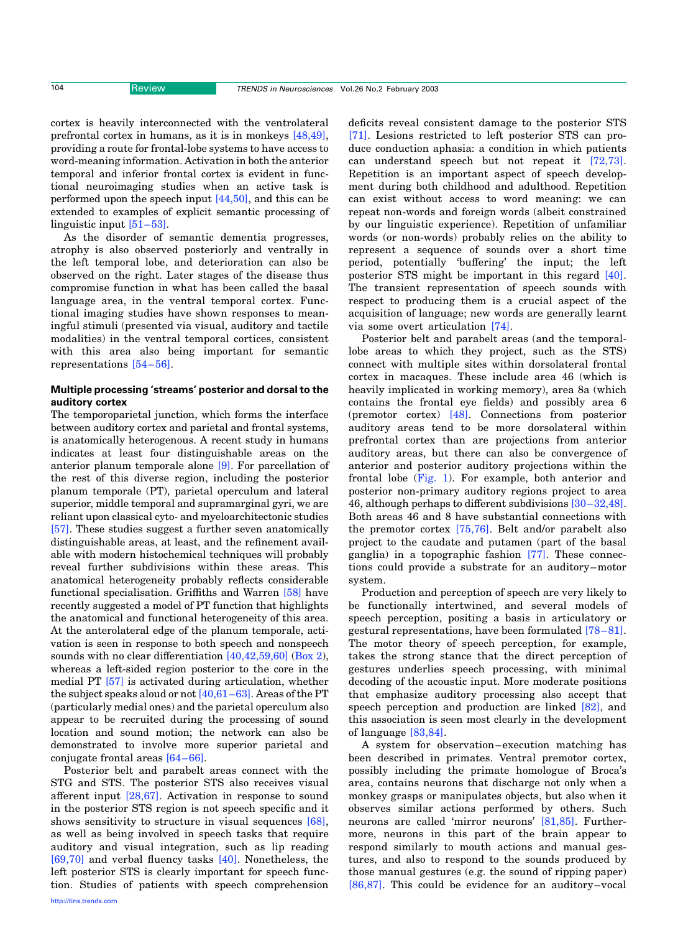cortex is heavily interconnected with the ventrolateral prefrontal cortex in humans, as it is in monkeys [\[48,49\]](#page-6-0), providing a route for frontal-lobe systems to have access to word-meaning information. Activation in both the anterior temporal and inferior frontal cortex is evident in functional neuroimaging studies when an active task is performed upon the speech input [\[44,50\]](#page-6-0), and this can be extended to examples of explicit semantic processing of linguistic input [\[51–53\]](#page-6-0).

As the disorder of semantic dementia progresses, atrophy is also observed posteriorly and ventrally in the left temporal lobe, and deterioration can also be observed on the right. Later stages of the disease thus compromise function in what has been called the basal language area, in the ventral temporal cortex. Functional imaging studies have shown responses to meaningful stimuli (presented via visual, auditory and tactile modalities) in the ventral temporal cortices, consistent with this area also being important for semantic representations [\[54–56\]](#page-6-0).

# Multiple processing 'streams' posterior and dorsal to the auditory cortex

The temporoparietal junction, which forms the interface between auditory cortex and parietal and frontal systems, is anatomically heterogenous. A recent study in humans indicates at least four distinguishable areas on the anterior planum temporale alone [\[9\]](#page-5-0). For parcellation of the rest of this diverse region, including the posterior planum temporale (PT), parietal operculum and lateral superior, middle temporal and supramarginal gyri, we are reliant upon classical cyto- and myeloarchitectonic studies [\[57\].](#page-6-0) These studies suggest a further seven anatomically distinguishable areas, at least, and the refinement available with modern histochemical techniques will probably reveal further subdivisions within these areas. This anatomical heterogeneity probably reflects considerable functional specialisation. Griffiths and Warren [\[58\]](#page-6-0) have recently suggested a model of PT function that highlights the anatomical and functional heterogeneity of this area. At the anterolateral edge of the planum temporale, activation is seen in response to both speech and nonspeech sounds with no clear differentiation [\[40,42,59,60\]](#page-6-0) [\(Box](#page-3-0) 2), whereas a left-sided region posterior to the core in the medial PT [\[57\]](#page-6-0) is activated during articulation, whether the subject speaks aloud or not [\[40,61–63\].](#page-6-0) Areas of the PT (particularly medial ones) and the parietal operculum also appear to be recruited during the processing of sound location and sound motion; the network can also be demonstrated to involve more superior parietal and conjugate frontal areas [\[64–66\]](#page-6-0).

Posterior belt and parabelt areas connect with the STG and STS. The posterior STS also receives visual afferent input [\[28,67\].](#page-6-0) Activation in response to sound in the posterior STS region is not speech specific and it shows sensitivity to structure in visual sequences [\[68\]](#page-6-0), as well as being involved in speech tasks that require auditory and visual integration, such as lip reading [\[69,70\]](#page-6-0) and verbal fluency tasks [\[40\]](#page-6-0). Nonetheless, the left posterior STS is clearly important for speech function. Studies of patients with speech comprehension deficits reveal consistent damage to the posterior STS [\[71\].](#page-6-0) Lesions restricted to left posterior STS can produce conduction aphasia: a condition in which patients can understand speech but not repeat it [\[72,73\]](#page-6-0). Repetition is an important aspect of speech development during both childhood and adulthood. Repetition can exist without access to word meaning: we can repeat non-words and foreign words (albeit constrained by our linguistic experience). Repetition of unfamiliar words (or non-words) probably relies on the ability to represent a sequence of sounds over a short time period, potentially 'buffering' the input; the left posterior STS might be important in this regard [\[40\]](#page-6-0). The transient representation of speech sounds with respect to producing them is a crucial aspect of the acquisition of language; new words are generally learnt via some overt articulation [\[74\].](#page-6-0)

Posterior belt and parabelt areas (and the temporallobe areas to which they project, such as the STS) connect with multiple sites within dorsolateral frontal cortex in macaques. These include area 46 (which is heavily implicated in working memory), area 8a (which contains the frontal eye fields) and possibly area 6 (premotor cortex) [\[48\]](#page-6-0). Connections from posterior auditory areas tend to be more dorsolateral within prefrontal cortex than are projections from anterior auditory areas, but there can also be convergence of anterior and posterior auditory projections within the frontal lobe ([Fig.](#page-2-0) 1). For example, both anterior and posterior non-primary auditory regions project to area 46, although perhaps to different subdivisions [\[30–32,48\]](#page-6-0). Both areas 46 and 8 have substantial connections with the premotor cortex [\[75,76\]](#page-6-0). Belt and/or parabelt also project to the caudate and putamen (part of the basal ganglia) in a topographic fashion [\[77\]](#page-6-0). These connections could provide a substrate for an auditory–motor system.

Production and perception of speech are very likely to be functionally intertwined, and several models of speech perception, positing a basis in articulatory or gestural representations, have been formulated [\[78–81\]](#page-6-0). The motor theory of speech perception, for example, takes the strong stance that the direct perception of gestures underlies speech processing, with minimal decoding of the acoustic input. More moderate positions that emphasize auditory processing also accept that speech perception and production are linked [\[82\]](#page-7-0), and this association is seen most clearly in the development of language [\[83,84\].](#page-7-0)

A system for observation–execution matching has been described in primates. Ventral premotor cortex, possibly including the primate homologue of Broca's area, contains neurons that discharge not only when a monkey grasps or manipulates objects, but also when it observes similar actions performed by others. Such neurons are called 'mirror neurons' [\[81,85\]](#page-6-0). Furthermore, neurons in this part of the brain appear to respond similarly to mouth actions and manual gestures, and also to respond to the sounds produced by those manual gestures (e.g. the sound of ripping paper) [\[86,87\]](#page-7-0). This could be evidence for an auditory–vocal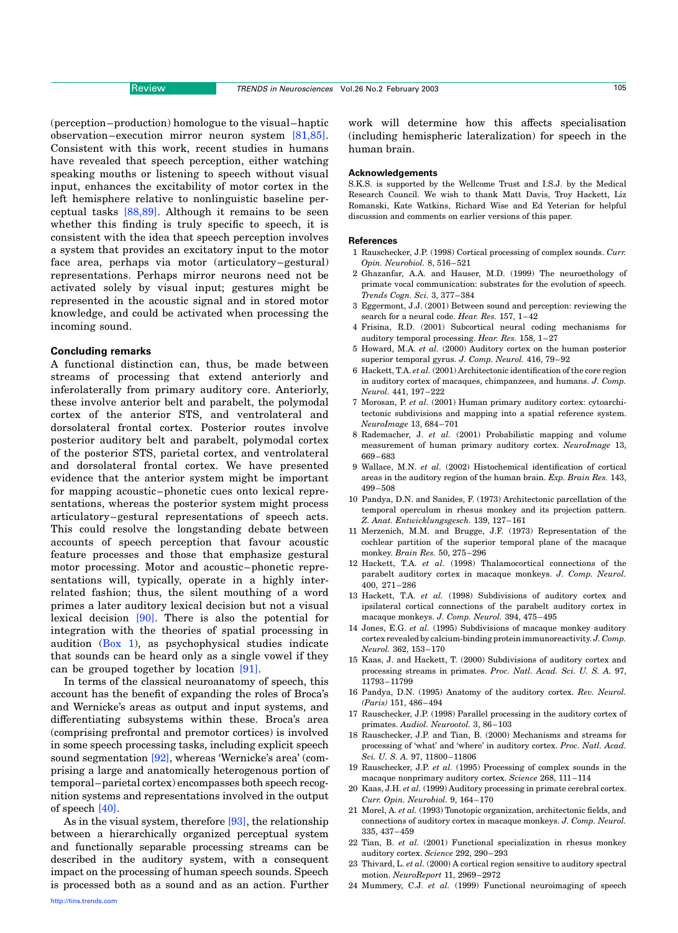<span id="page-5-0"></span>(perception–production) homologue to the visual–haptic observation–execution mirror neuron system [\[81,85\]](#page-6-0). Consistent with this work, recent studies in humans have revealed that speech perception, either watching speaking mouths or listening to speech without visual input, enhances the excitability of motor cortex in the left hemisphere relative to nonlinguistic baseline perceptual tasks [\[88,89\]](#page-7-0). Although it remains to be seen whether this finding is truly specific to speech, it is consistent with the idea that speech perception involves a system that provides an excitatory input to the motor face area, perhaps via motor (articulatory–gestural) representations. Perhaps mirror neurons need not be activated solely by visual input; gestures might be represented in the acoustic signal and in stored motor knowledge, and could be activated when processing the incoming sound.

### Concluding remarks

A functional distinction can, thus, be made between streams of processing that extend anteriorly and inferolaterally from primary auditory core. Anteriorly, these involve anterior belt and parabelt, the polymodal cortex of the anterior STS, and ventrolateral and dorsolateral frontal cortex. Posterior routes involve posterior auditory belt and parabelt, polymodal cortex of the posterior STS, parietal cortex, and ventrolateral and dorsolateral frontal cortex. We have presented evidence that the anterior system might be important for mapping acoustic–phonetic cues onto lexical representations, whereas the posterior system might process articulatory–gestural representations of speech acts. This could resolve the longstanding debate between accounts of speech perception that favour acoustic feature processes and those that emphasize gestural motor processing. Motor and acoustic–phonetic representations will, typically, operate in a highly interrelated fashion; thus, the silent mouthing of a word primes a later auditory lexical decision but not a visual lexical decision [\[90\].](#page-7-0) There is also the potential for integration with the theories of spatial processing in audition  $(Box 1)$  $(Box 1)$  $(Box 1)$ , as psychophysical studies indicate that sounds can be heard only as a single vowel if they can be grouped together by location [\[91\]](#page-7-0).

In terms of the classical neuroanatomy of speech, this account has the benefit of expanding the roles of Broca's and Wernicke's areas as output and input systems, and differentiating subsystems within these. Broca's area (comprising prefrontal and premotor cortices) is involved in some speech processing tasks, including explicit speech sound segmentation [\[92\]](#page-7-0), whereas 'Wernicke's area' (comprising a large and anatomically heterogenous portion of temporal–parietal cortex) encompasses both speech recognition systems and representations involved in the output of speech [\[40\]](#page-6-0).

As in the visual system, therefore [\[93\]](#page-7-0), the relationship between a hierarchically organized perceptual system and functionally separable processing streams can be described in the auditory system, with a consequent impact on the processing of human speech sounds. Speech is processed both as a sound and as an action. Further

[http://tins.trends.com](http://www.trends.com)

work will determine how this affects specialisation (including hemispheric lateralization) for speech in the human brain.

#### Acknowledgements

S.K.S. is supported by the Wellcome Trust and I.S.J. by the Medical Research Council. We wish to thank Matt Davis, Troy Hackett, Liz Romanski, Kate Watkins, Richard Wise and Ed Yeterian for helpful discussion and comments on earlier versions of this paper.

#### References

- 1 Rauschecker, J.P. (1998) Cortical processing of complex sounds. Curr. Opin. Neurobiol. 8, 516–521
- 2 Ghazanfar, A.A. and Hauser, M.D. (1999) The neuroethology of primate vocal communication: substrates for the evolution of speech. Trends Cogn. Sci. 3, 377–384
- 3 Eggermont, J.J. (2001) Between sound and perception: reviewing the search for a neural code. Hear. Res. 157, 1–42
- 4 Frisina, R.D. (2001) Subcortical neural coding mechanisms for auditory temporal processing. Hear. Res. 158, 1–27
- 5 Howard, M.A. et al. (2000) Auditory cortex on the human posterior superior temporal gyrus. J. Comp. Neurol. 416, 79–92
- 6 Hackett, T.A. et al. (2001) Architectonic identification of the core region in auditory cortex of macaques, chimpanzees, and humans. J. Comp. Neurol. 441, 197–222
- 7 Morosan, P. et al. (2001) Human primary auditory cortex: cytoarchitectonic subdivisions and mapping into a spatial reference system. NeuroImage 13, 684–701
- 8 Rademacher, J. et al. (2001) Probabilistic mapping and volume measurement of human primary auditory cortex. NeuroImage 13, 669–683
- 9 Wallace, M.N. et al. (2002) Histochemical identification of cortical areas in the auditory region of the human brain. Exp. Brain Res. 143, 499–508
- 10 Pandya, D.N. and Sanides, F. (1973) Architectonic parcellation of the temporal operculum in rhesus monkey and its projection pattern. Z. Anat. Entwicklungsgesch. 139, 127–161
- 11 Merzenich, M.M. and Brugge, J.F. (1973) Representation of the cochlear partition of the superior temporal plane of the macaque monkey. Brain Res. 50, 275–296
- 12 Hackett, T.A. et al. (1998) Thalamocortical connections of the parabelt auditory cortex in macaque monkeys. J. Comp. Neurol. 400, 271–286
- 13 Hackett, T.A. et al. (1998) Subdivisions of auditory cortex and ipsilateral cortical connections of the parabelt auditory cortex in macaque monkeys. J. Comp. Neurol. 394, 475–495
- 14 Jones, E.G. et al. (1995) Subdivisions of macaque monkey auditory cortex revealed by calcium-binding protein immunoreactivity. J. Comp. Neurol. 362, 153–170
- 15 Kaas, J. and Hackett, T. (2000) Subdivisions of auditory cortex and processing streams in primates. Proc. Natl. Acad. Sci. U. S. A. 97, 11793–11799
- 16 Pandya, D.N. (1995) Anatomy of the auditory cortex. Rev. Neurol. (Paris) 151, 486–494
- 17 Rauschecker, J.P. (1998) Parallel processing in the auditory cortex of primates. Audiol. Neurootol. 3, 86–103
- 18 Rauschecker, J.P. and Tian, B. (2000) Mechanisms and streams for processing of 'what' and 'where' in auditory cortex. Proc. Natl. Acad. Sci. U. S. A. 97, 11800–11806
- 19 Rauschecker, J.P. et al. (1995) Processing of complex sounds in the macaque nonprimary auditory cortex. Science 268, 111–114
- 20 Kaas, J.H. et al. (1999) Auditory processing in primate cerebral cortex. Curr. Opin. Neurobiol. 9, 164–170
- 21 Morel, A. et al. (1993) Tonotopic organization, architectonic fields, and connections of auditory cortex in macaque monkeys. J. Comp. Neurol. 335, 437–459
- 22 Tian, B. et al. (2001) Functional specialization in rhesus monkey auditory cortex. Science 292, 290–293
- 23 Thivard, L. et al.  $(2000)$  A cortical region sensitive to auditory spectral motion. NeuroReport 11, 2969–2972
- 24 Mummery, C.J. et al. (1999) Functional neuroimaging of speech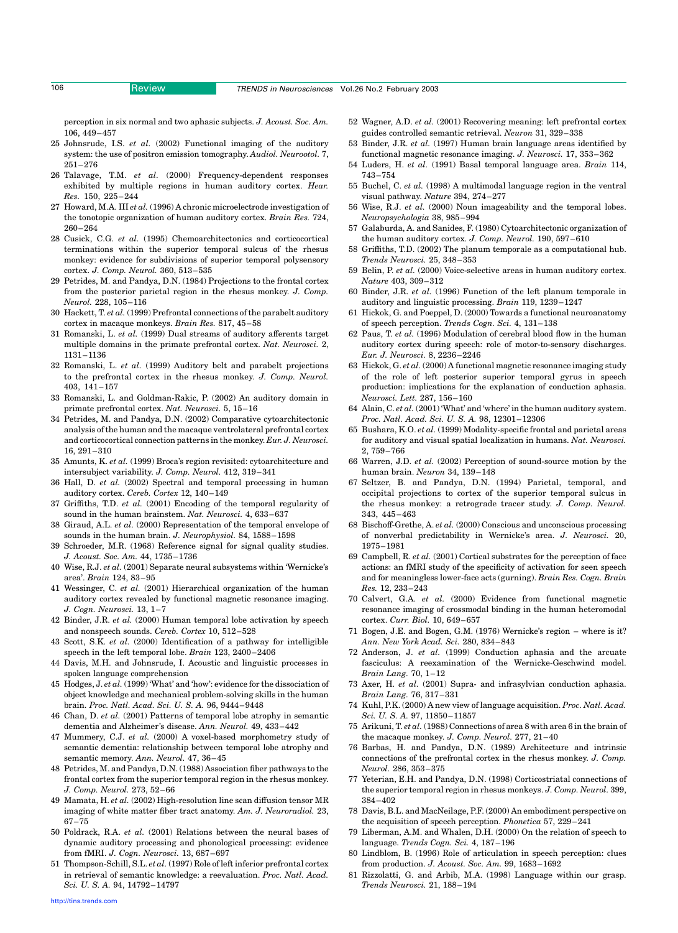<span id="page-6-0"></span>

perception in six normal and two aphasic subjects. J. Acoust. Soc. Am. 106, 449–457

- 25 Johnsrude, I.S. et al. (2002) Functional imaging of the auditory system: the use of positron emission tomography. Audiol. Neurootol. 7, 251–276
- 26 Talavage, T.M. et al. (2000) Frequency-dependent responses exhibited by multiple regions in human auditory cortex. Hear. Res. 150, 225–244
- 27 Howard, M.A. III et al. (1996) A chronic microelectrode investigation of the tonotopic organization of human auditory cortex. Brain Res. 724, 260–264
- 28 Cusick, C.G. et al. (1995) Chemoarchitectonics and corticocortical terminations within the superior temporal sulcus of the rhesus monkey: evidence for subdivisions of superior temporal polysensory cortex. J. Comp. Neurol. 360, 513–535
- 29 Petrides, M. and Pandya, D.N. (1984) Projections to the frontal cortex from the posterior parietal region in the rhesus monkey. J. Comp. Neurol. 228, 105–116
- 30 Hackett, T. et al. (1999) Prefrontal connections of the parabelt auditory cortex in macaque monkeys. Brain Res. 817, 45–58
- 31 Romanski, L. et al. (1999) Dual streams of auditory afferents target multiple domains in the primate prefrontal cortex. Nat. Neurosci. 2, 1131–1136
- 32 Romanski, L. et al. (1999) Auditory belt and parabelt projections to the prefrontal cortex in the rhesus monkey. J. Comp. Neurol. 403, 141–157
- 33 Romanski, L. and Goldman-Rakic, P. (2002) An auditory domain in primate prefrontal cortex. Nat. Neurosci. 5, 15–16
- 34 Petrides, M. and Pandya, D.N. (2002) Comparative cytoarchitectonic analysis ofthe human and the macaque ventrolateral prefrontal cortex and corticocortical connection patterns in the monkey. Eur. J. Neurosci. 16, 291–310
- 35 Amunts, K. et al. (1999) Broca's region revisited: cytoarchitecture and intersubject variability. J. Comp. Neurol. 412, 319–341
- 36 Hall, D. et al. (2002) Spectral and temporal processing in human auditory cortex. Cereb. Cortex 12, 140–149
- 37 Griffiths, T.D. et al. (2001) Encoding of the temporal regularity of sound in the human brainstem. Nat. Neurosci. 4, 633-637
- 38 Giraud, A.L. et al. (2000) Representation of the temporal envelope of sounds in the human brain. J. Neurophysiol. 84, 1588–1598
- 39 Schroeder, M.R. (1968) Reference signal for signal quality studies. J. Acoust. Soc. Am. 44, 1735–1736
- 40 Wise, R.J. et al. (2001) Separate neural subsystems within 'Wernicke's area'. Brain 124, 83–95
- 41 Wessinger, C. et al. (2001) Hierarchical organization of the human auditory cortex revealed by functional magnetic resonance imaging. J. Cogn. Neurosci. 13, 1–7
- 42 Binder, J.R. et al. (2000) Human temporal lobe activation by speech and nonspeech sounds. Cereb. Cortex 10, 512–528
- 43 Scott, S.K. et al. (2000) Identification of a pathway for intelligible speech in the left temporal lobe. Brain 123, 2400–2406
- 44 Davis, M.H. and Johnsrude, I. Acoustic and linguistic processes in spoken language comprehension
- 45 Hodges, J. et al. (1999) 'What' and 'how': evidence for the dissociation of object knowledge and mechanical problem-solving skills in the human brain. Proc. Natl. Acad. Sci. U. S. A. 96, 9444–9448
- 46 Chan, D. et al. (2001) Patterns of temporal lobe atrophy in semantic dementia and Alzheimer's disease. Ann. Neurol. 49, 433–442
- 47 Mummery, C.J. et al. (2000) A voxel-based morphometry study of semantic dementia: relationship between temporal lobe atrophy and semantic memory. Ann. Neurol. 47, 36–45
- 48 Petrides, M. and Pandya, D.N. (1988) Association fiber pathways to the frontal cortex from the superior temporal region in the rhesus monkey. J. Comp. Neurol. 273, 52–66
- 49 Mamata, H. et al. (2002) High-resolution line scan diffusion tensor MR imaging of white matter fiber tract anatomy. Am. J. Neuroradiol. 23, 67–75
- 50 Poldrack, R.A. et al. (2001) Relations between the neural bases of dynamic auditory processing and phonological processing: evidence from fMRI. J. Cogn. Neurosci. 13, 687–697
- 51 Thompson-Schill, S.L. et al. (1997) Role of left inferior prefrontal cortex in retrieval of semantic knowledge: a reevaluation. Proc. Natl. Acad. Sci. U. S. A. 94, 14792–14797
- 52 Wagner, A.D. et al. (2001) Recovering meaning: left prefrontal cortex guides controlled semantic retrieval. Neuron 31, 329–338
- 53 Binder, J.R. et al. (1997) Human brain language areas identified by functional magnetic resonance imaging. J. Neurosci. 17, 353–362
- 54 Luders, H. et al. (1991) Basal temporal language area. Brain 114, 743–754
- 55 Buchel, C. et al. (1998) A multimodal language region in the ventral visual pathway. Nature 394, 274–277
- 56 Wise, R.J. et al. (2000) Noun imageability and the temporal lobes. Neuropsychologia 38, 985–994
- 57 Galaburda, A. and Sanides, F. (1980) Cytoarchitectonic organization of the human auditory cortex. J. Comp. Neurol. 190, 597–610
- 58 Griffiths, T.D. (2002) The planum temporale as a computational hub. Trends Neurosci. 25, 348–353
- 59 Belin, P. et al. (2000) Voice-selective areas in human auditory cortex. Nature 403, 309–312
- 60 Binder, J.R. et al. (1996) Function of the left planum temporale in auditory and linguistic processing. Brain 119, 1239–1247
- 61 Hickok, G. and Poeppel, D. (2000) Towards a functional neuroanatomy of speech perception. Trends Cogn. Sci. 4, 131–138
- 62 Paus, T. et al. (1996) Modulation of cerebral blood flow in the human auditory cortex during speech: role of motor-to-sensory discharges. Eur. J. Neurosci. 8, 2236–2246
- 63 Hickok, G. et al. (2000) A functional magnetic resonance imaging study of the role of left posterior superior temporal gyrus in speech production: implications for the explanation of conduction aphasia. Neurosci. Lett. 287, 156–160
- 64 Alain, C. et al.  $(2001)$  What' and 'where' in the human auditory system. Proc. Natl. Acad. Sci. U. S. A. 98, 12301–12306
- 65 Bushara, K.O. et al. (1999) Modality-specific frontal and parietal areas for auditory and visual spatial localization in humans. Nat. Neurosci. 2, 759–766
- 66 Warren, J.D. et al. (2002) Perception of sound-source motion by the human brain. Neuron 34, 139–148
- 67 Seltzer, B. and Pandya, D.N. (1994) Parietal, temporal, and occipital projections to cortex of the superior temporal sulcus in the rhesus monkey: a retrograde tracer study. J. Comp. Neurol. 343, 445–463
- 68 Bischoff-Grethe, A. et al. (2000) Conscious and unconscious processing of nonverbal predictability in Wernicke's area. J. Neurosci. 20, 1975–1981
- 69 Campbell, R. et al. (2001) Cortical substrates for the perception of face actions: an fMRI study of the specificity of activation for seen speech and for meaningless lower-face acts (gurning). Brain Res. Cogn. Brain Res. 12, 233–243
- 70 Calvert, G.A. et al. (2000) Evidence from functional magnetic resonance imaging of crossmodal binding in the human heteromodal cortex. Curr. Biol. 10, 649–657
- 71 Bogen, J.E. and Bogen, G.M. (1976) Wernicke's region where is it? Ann. New York Acad. Sci. 280, 834–843
- 72 Anderson, J. et al. (1999) Conduction aphasia and the arcuate fasciculus: A reexamination of the Wernicke-Geschwind model. Brain Lang. 70, 1–12
- 73 Axer, H. et al. (2001) Supra- and infrasylvian conduction aphasia. Brain Lang. 76, 317–331
- 74 Kuhl, P.K. (2000) A new view of language acquisition. Proc. Natl. Acad. Sci. U. S. A. 97, 11850–11857
- 75 Arikuni, T. et al. (1988) Connections of area 8 with area 6 in the brain of the macaque monkey. J. Comp. Neurol. 277, 21–40
- 76 Barbas, H. and Pandya, D.N. (1989) Architecture and intrinsic connections of the prefrontal cortex in the rhesus monkey. J. Comp. Neurol. 286, 353–375
- 77 Yeterian, E.H. and Pandya, D.N. (1998) Corticostriatal connections of the superior temporal region in rhesus monkeys. J. Comp. Neurol. 399, 384–402
- 78 Davis, B.L. and MacNeilage, P.F. (2000) An embodiment perspective on the acquisition of speech perception. Phonetica 57, 229–241
- 79 Liberman, A.M. and Whalen, D.H. (2000) On the relation of speech to language. Trends Cogn. Sci. 4, 187–196
- 80 Lindblom, B. (1996) Role of articulation in speech perception: clues from production. J. Acoust. Soc. Am. 99, 1683–1692
- 81 Rizzolatti, G. and Arbib, M.A. (1998) Language within our grasp. Trends Neurosci. 21, 188–194